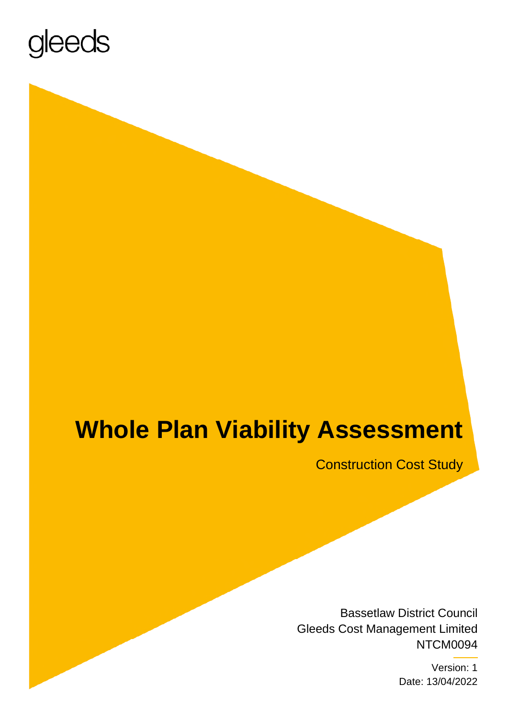

## **Whole Plan Viability Assessment**

Construction Cost Study

 Bassetlaw District Council Gleeds Cost Management Limited NTCM0094

> Version: 1 Date: 13/04/2022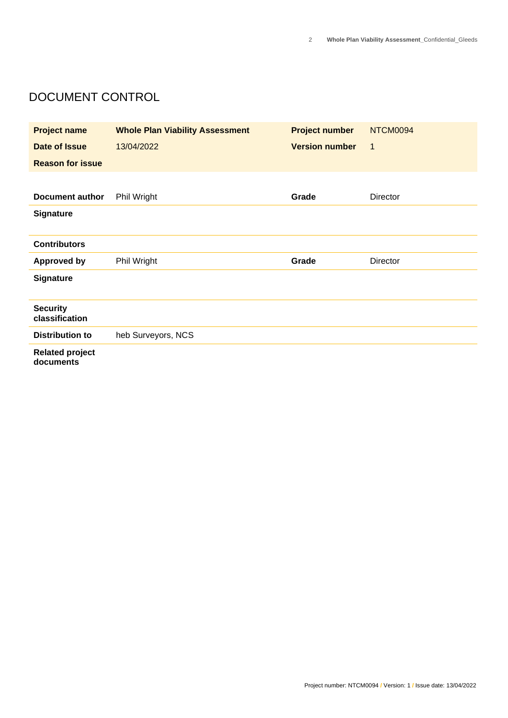#### DOCUMENT CONTROL

| <b>Project name</b>                 | <b>Whole Plan Viability Assessment</b> | <b>Project number</b> | NTCM0094    |
|-------------------------------------|----------------------------------------|-----------------------|-------------|
| Date of Issue                       | 13/04/2022                             | <b>Version number</b> | $\mathbf 1$ |
| <b>Reason for issue</b>             |                                        |                       |             |
|                                     |                                        |                       |             |
| <b>Document author</b>              | Phil Wright                            | Grade                 | Director    |
| <b>Signature</b>                    |                                        |                       |             |
|                                     |                                        |                       |             |
| <b>Contributors</b>                 |                                        |                       |             |
| <b>Approved by</b>                  | Phil Wright                            | Grade                 | Director    |
| <b>Signature</b>                    |                                        |                       |             |
|                                     |                                        |                       |             |
| <b>Security</b><br>classification   |                                        |                       |             |
| <b>Distribution to</b>              | heb Surveyors, NCS                     |                       |             |
| <b>Related project</b><br>documents |                                        |                       |             |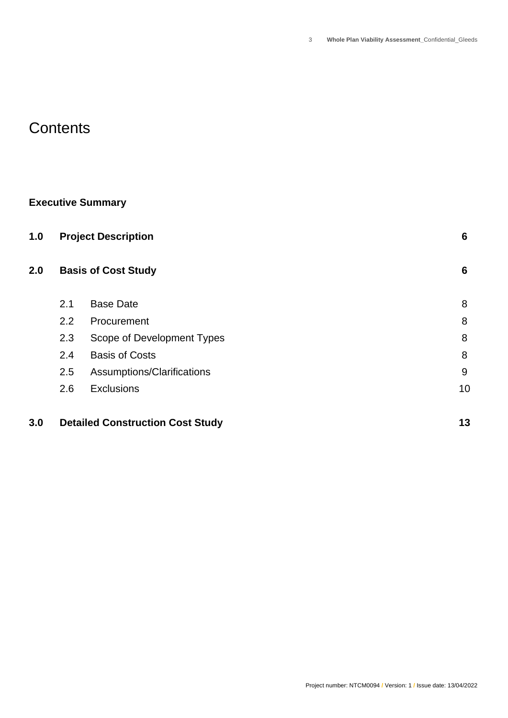### **Contents**

#### **Executive Summary**

| 1.0 |     | <b>Project Description</b>              | $6\phantom{1}6$ |
|-----|-----|-----------------------------------------|-----------------|
| 2.0 |     | <b>Basis of Cost Study</b>              | 6               |
|     | 2.1 | <b>Base Date</b>                        | 8               |
|     | 2.2 | Procurement                             | 8               |
|     | 2.3 | Scope of Development Types              | 8               |
|     | 2.4 | <b>Basis of Costs</b>                   | 8               |
|     | 2.5 | Assumptions/Clarifications              | 9               |
|     | 2.6 | <b>Exclusions</b>                       | 10              |
| 3.0 |     | <b>Detailed Construction Cost Study</b> | 13              |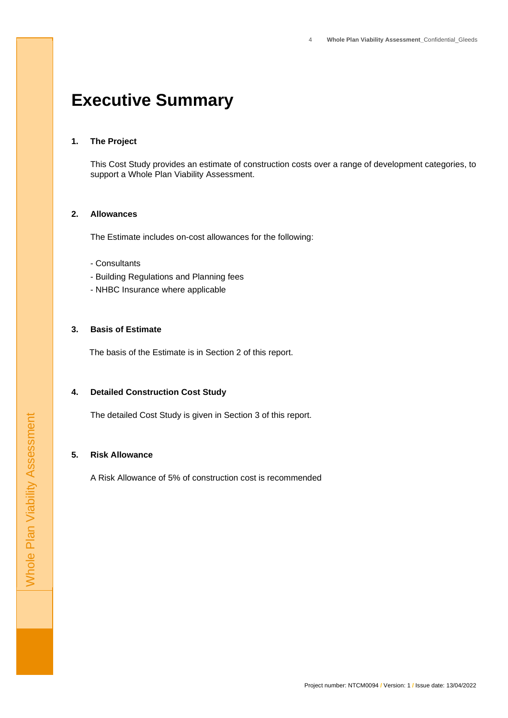### **Executive Summary**

#### **1. The Project**

 This Cost Study provides an estimate of construction costs over a range of development categories, to support a Whole Plan Viability Assessment.

#### **2. Allowances**

The Estimate includes on-cost allowances for the following:

- Consultants
- Consultants<br>- Building Regulations and Planning fees
- NHBC Insurance where applicable

#### **3. Basis of Estimate**

The basis of the Estimate is in Section 2 of this report.

#### **4. Detailed Construction Cost Study**

The detailed Cost Study is given in Section 3 of this report.

#### **5. Risk Allowance**

A Risk Allowance of 5% of construction cost is recommended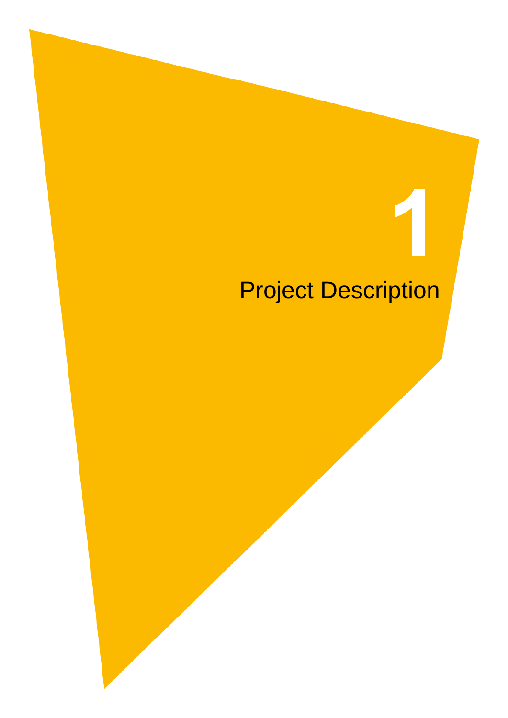# Project Description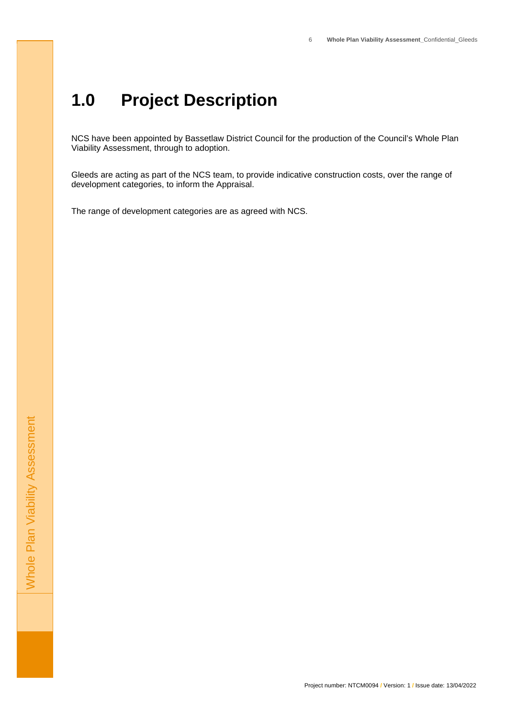#### <span id="page-5-0"></span> **Project Description**

 NCS have been appointed by Bassetlaw District Council for the production of the Council's Whole Plan Viability Assessment, through to adoption.

 Gleeds are acting as part of the NCS team, to provide indicative construction costs, over the range of development categories, to inform the Appraisal.

The range of development categories are as agreed with NCS.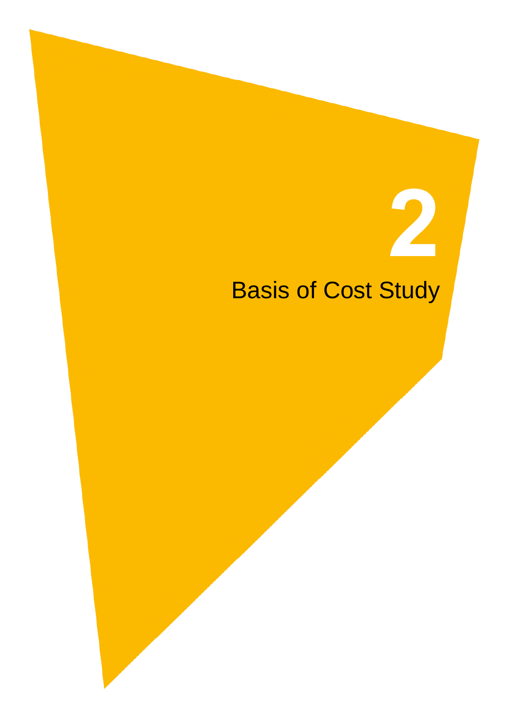## Basis of Cost Study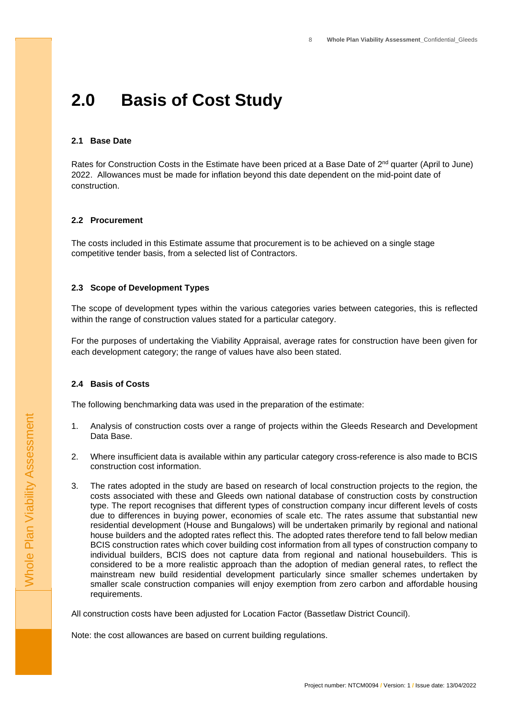#### <span id="page-7-0"></span> $2.0$ **Basis of Cost Study**

#### **2.1 Base Date**

Rates for Construction Costs in the Estimate have been priced at a Base Date of  $2^{nd}$  quarter (April to June) 2022. Allowances must be made for inflation beyond this date dependent on the mid-point date of construction.

#### **2.2 Procurement**

 The costs included in this Estimate assume that procurement is to be achieved on a single stage competitive tender basis, from a selected list of Contractors.

#### **2.3 Scope of Development Types**

 The scope of development types within the various categories varies between categories, this is reflected within the range of construction values stated for a particular category.

 For the purposes of undertaking the Viability Appraisal, average rates for construction have been given for each development category; the range of values have also been stated.

#### **2.4 Basis of Costs**

The following benchmarking data was used in the preparation of the estimate:

- $\mathbf{1}$  Data Base. 1. Analysis of construction costs over a range of projects within the Gleeds Research and Development
- $2.$ 2. Where insufficient data is available within any particular category cross-reference is also made to BCIS construction cost information.
- 3 costs associated with these and Gleeds own national database of construction costs by construction type. The report recognises that different types of construction company incur different levels of costs due to differences in buying power, economies of scale etc. The rates assume that substantial new residential development (House and Bungalows) will be undertaken primarily by regional and national house builders and the adopted rates reflect this. The adopted rates therefore tend to fall below median BCIS construction rates which cover building cost information from all types of construction company to individual builders, BCIS does not capture data from regional and national housebuilders. This is considered to be a more realistic approach than the adoption of median general rates, to reflect the mainstream new build residential development particularly since smaller schemes undertaken by smaller scale construction companies will enjoy exemption from zero carbon and affordable housing The rates adopted in the study are based on research of local construction projects to the region, the requirements.

All construction costs have been adjusted for Location Factor (Bassetlaw District Council).

Note: the cost allowances are based on current building regulations.

Whole Plan Viability Assessment

Whole Plan Viability Assessment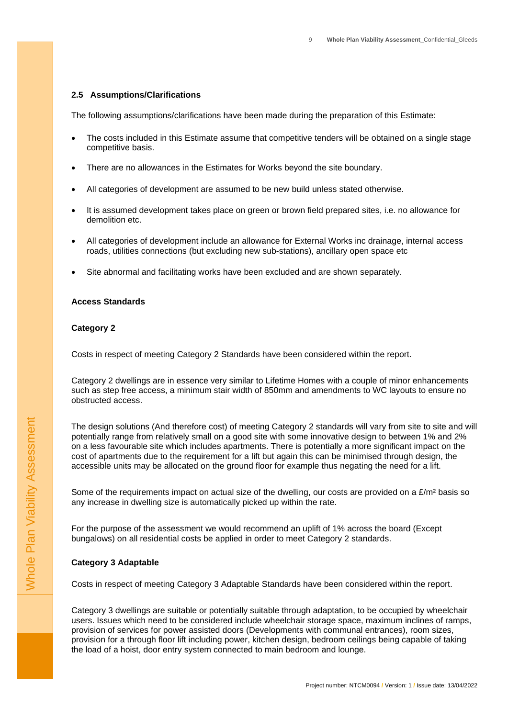#### <span id="page-8-0"></span>**2.5 Assumptions/Clarifications**

The following assumptions/clarifications have been made during the preparation of this Estimate:

- The costs included in this Estimate assume that competitive tenders will be obtained on a single stage competitive basis.
- There are no allowances in the Estimates for Works beyond the site boundary.
- All categories of development are assumed to be new build unless stated otherwise.
- demolition etc. It is assumed development takes place on green or brown field prepared sites, i.e. no allowance for
- All categories of development include an allowance for External Works inc drainage, internal access roads, utilities connections (but excluding new sub-stations), ancillary open space etc
- Site abnormal and facilitating works have been excluded and are shown separately.

#### **Access Standards**

#### **Category 2**

Costs in respect of meeting Category 2 Standards have been considered within the report.

 Category 2 dwellings are in essence very similar to Lifetime Homes with a couple of minor enhancements such as step free access, a minimum stair width of 850mm and amendments to WC layouts to ensure no obstructed access.

 The design solutions (And therefore cost) of meeting Category 2 standards will vary from site to site and will potentially range from relatively small on a good site with some innovative design to between 1% and 2% on a less favourable site which includes apartments. There is potentially a more significant impact on the cost of apartments due to the requirement for a lift but again this can be minimised through design, the accessible units may be allocated on the ground floor for example thus negating the need for a lift.

Some of the requirements impact on actual size of the dwelling, our costs are provided on a  $E/m<sup>2</sup>$  basis so any increase in dwelling size is automatically picked up within the rate.

 For the purpose of the assessment we would recommend an uplift of 1% across the board (Except bungalows) on all residential costs be applied in order to meet Category 2 standards.

#### **Category 3 Adaptable**

Costs in respect of meeting Category 3 Adaptable Standards have been considered within the report.

 Category 3 dwellings are suitable or potentially suitable through adaptation, to be occupied by wheelchair users. Issues which need to be considered include wheelchair storage space, maximum inclines of ramps, provision of services for power assisted doors (Developments with communal entrances), room sizes, provision for a through floor lift including power, kitchen design, bedroom ceilings being capable of taking the load of a hoist, door entry system connected to main bedroom and lounge.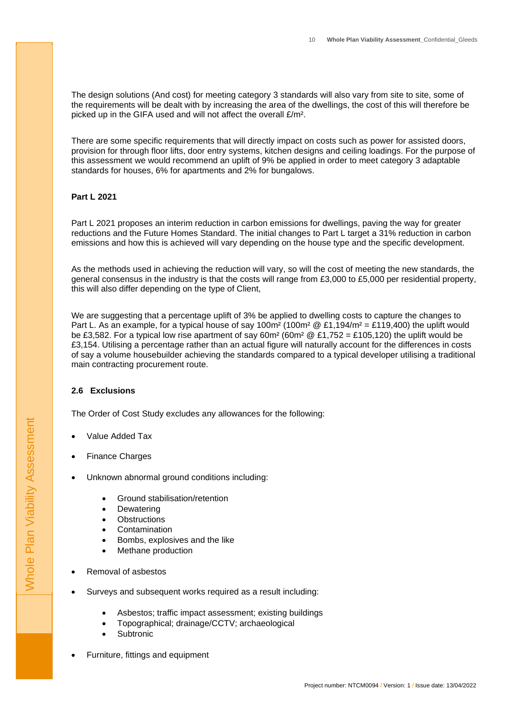<span id="page-9-0"></span> The design solutions (And cost) for meeting category 3 standards will also vary from site to site, some of the requirements will be dealt with by increasing the area of the dwellings, the cost of this will therefore be picked up in the GIFA used and will not affect the overall £/m².

 There are some specific requirements that will directly impact on costs such as power for assisted doors, provision for through floor lifts, door entry systems, kitchen designs and ceiling loadings. For the purpose of this assessment we would recommend an uplift of 9% be applied in order to meet category 3 adaptable standards for houses, 6% for apartments and 2% for bungalows.

#### **Part L 2021**

 Part L 2021 proposes an interim reduction in carbon emissions for dwellings, paving the way for greater reductions and the Future Homes Standard. The initial changes to Part L target a 31% reduction in carbon emissions and how this is achieved will vary depending on the house type and the specific development.

 As the methods used in achieving the reduction will vary, so will the cost of meeting the new standards, the general consensus in the industry is that the costs will range from £3,000 to £5,000 per residential property, this will also differ depending on the type of Client,

 We are suggesting that a percentage uplift of 3% be applied to dwelling costs to capture the changes to Part L. As an example, for a typical house of say 100m<sup>2</sup> (100m<sup>2</sup> @ £1,194/m<sup>2</sup> = £119,400) the uplift would be £3,582. For a typical low rise apartment of say 60m<sup>2</sup> (60m<sup>2</sup> @ £1,752 = £105,120) the uplift would be £3,154. Utilising a percentage rather than an actual figure will naturally account for the differences in costs of say a volume housebuilder achieving the standards compared to a typical developer utilising a traditional main contracting procurement route.

#### **2.6 Exclusions**

The Order of Cost Study excludes any allowances for the following:

- Value Added Tax
- Finance Charges
- Unknown abnormal ground conditions including:
	- Ground stabilisation/retention
	- Dewatering
	- **Obstructions**
	- Contamination
	- Bombs, explosives and the like
	- Methane production
- Removal of asbestos
- Surveys and subsequent works required as a result including:
	- Asbestos; traffic impact assessment; existing buildings
	- Topographical; drainage/CCTV; archaeological
	- Subtronic
- Furniture, fittings and equipment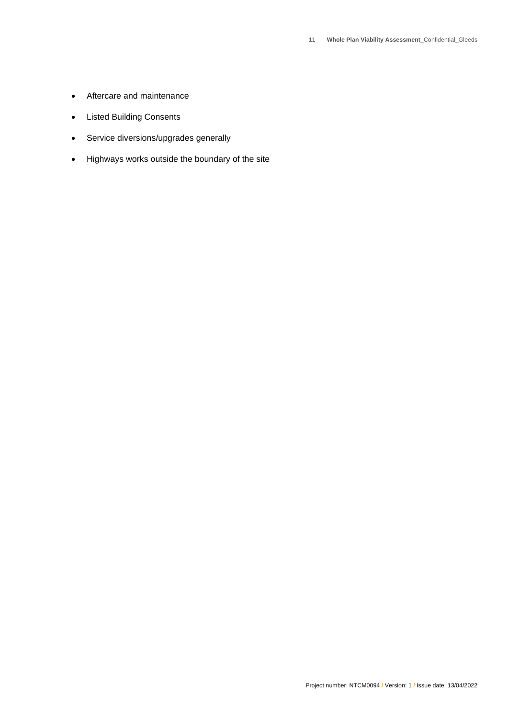- Aftercare and maintenance
- Listed Building Consents
- Service diversions/upgrades generally
- Highways works outside the boundary of the site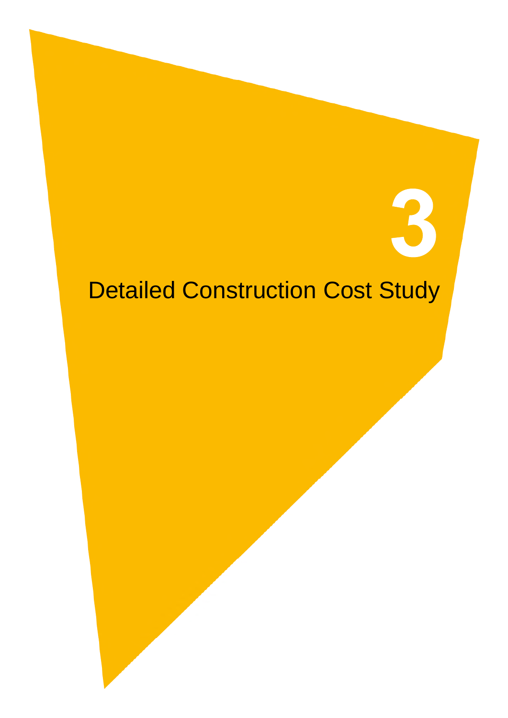## Detailed Construction Cost Study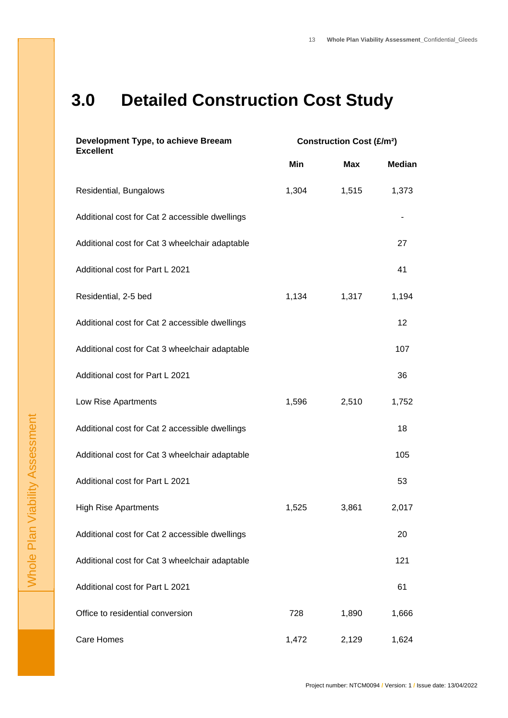### **3.0 Detailed Construction Cost Study**

| Development Type, to achieve Breeam<br><b>Excellent</b> | <b>Construction Cost (£/m<sup>2</sup>)</b> |            |               |
|---------------------------------------------------------|--------------------------------------------|------------|---------------|
|                                                         | Min                                        | <b>Max</b> | <b>Median</b> |
| Residential, Bungalows                                  | 1,304                                      | 1,515      | 1,373         |
| Additional cost for Cat 2 accessible dwellings          |                                            |            |               |
| Additional cost for Cat 3 wheelchair adaptable          |                                            |            | 27            |
| Additional cost for Part L 2021                         |                                            |            | 41            |
| Residential, 2-5 bed                                    | 1,134                                      | 1,317      | 1,194         |
| Additional cost for Cat 2 accessible dwellings          |                                            |            | 12            |
| Additional cost for Cat 3 wheelchair adaptable          |                                            |            | 107           |
| Additional cost for Part L 2021                         |                                            |            | 36            |
| Low Rise Apartments                                     | 1,596                                      | 2,510      | 1,752         |
| Additional cost for Cat 2 accessible dwellings          |                                            |            | 18            |
| Additional cost for Cat 3 wheelchair adaptable          |                                            |            | 105           |
| Additional cost for Part L 2021                         |                                            |            | 53            |
| <b>High Rise Apartments</b>                             | 1,525                                      | 3,861      | 2,017         |
| Additional cost for Cat 2 accessible dwellings          |                                            |            | 20            |
| Additional cost for Cat 3 wheelchair adaptable          |                                            |            | 121           |
| Additional cost for Part L 2021                         |                                            |            | 61            |
| Office to residential conversion                        | 728                                        | 1,890      | 1,666         |
| Care Homes                                              | 1,472                                      | 2,129      | 1,624         |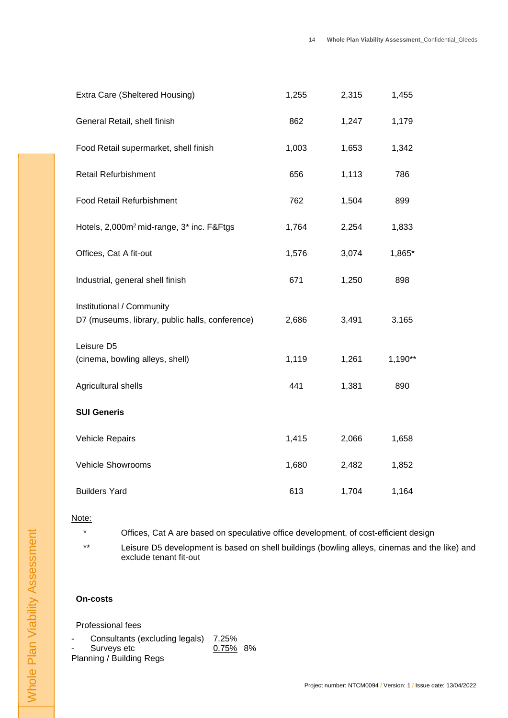| Extra Care (Sheltered Housing)                                               | 1,255 | 2,315 | 1,455     |
|------------------------------------------------------------------------------|-------|-------|-----------|
| General Retail, shell finish                                                 | 862   | 1,247 | 1,179     |
| Food Retail supermarket, shell finish                                        | 1,003 | 1,653 | 1,342     |
| <b>Retail Refurbishment</b>                                                  | 656   | 1,113 | 786       |
| <b>Food Retail Refurbishment</b>                                             | 762   | 1,504 | 899       |
| Hotels, 2,000m <sup>2</sup> mid-range, 3 <sup>*</sup> inc. F&Ftgs            | 1,764 | 2,254 | 1,833     |
| Offices, Cat A fit-out                                                       | 1,576 | 3,074 | 1,865*    |
| Industrial, general shell finish                                             | 671   | 1,250 | 898       |
| Institutional / Community<br>D7 (museums, library, public halls, conference) | 2,686 | 3,491 | 3.165     |
| Leisure D5<br>(cinema, bowling alleys, shell)                                | 1,119 | 1,261 | $1,190**$ |
| Agricultural shells                                                          | 441   | 1,381 | 890       |
| <b>SUI Generis</b>                                                           |       |       |           |
| Vehicle Repairs                                                              | 1,415 | 2,066 | 1,658     |
| <b>Vehicle Showrooms</b>                                                     | 1,680 | 2,482 | 1,852     |
| <b>Builders Yard</b>                                                         | 613   | 1,704 | 1,164     |

#### $\star$ Note:

Offices, Cat A are based on speculative office development, of cost-efficient design

 \*\* Leisure D5 development is based on shell buildings (bowling alleys, cinemas and the like) and exclude tenant fit-out

#### **On-costs**

Professional fees

- Consultants (excluding legals) 7.25%
- Surveys etc  $0.75\%$  8%
- Planning / Building Regs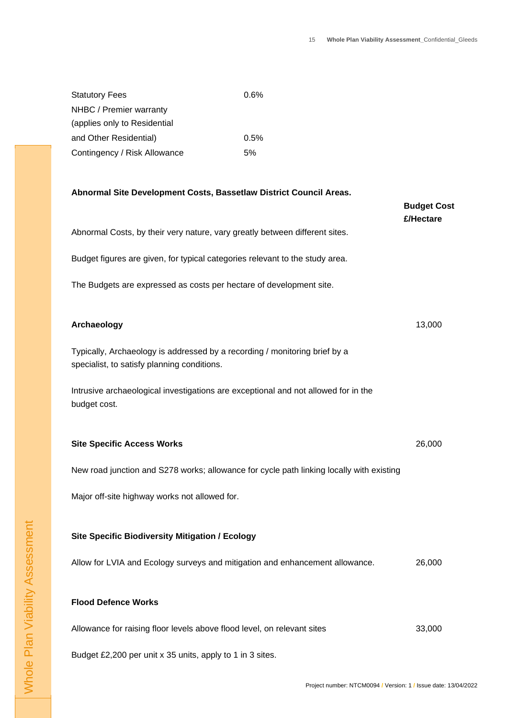| <b>Statutory Fees</b>        | $0.6\%$ |
|------------------------------|---------|
| NHBC / Premier warranty      |         |
| (applies only to Residential |         |
| and Other Residential)       | $0.5\%$ |
| Contingency / Risk Allowance | 5%      |

#### **Abnormal Site Development Costs, Bassetlaw District Council Areas.**

|                                                                                                                           | <b>Budget Cost</b><br>£/Hectare |
|---------------------------------------------------------------------------------------------------------------------------|---------------------------------|
| Abnormal Costs, by their very nature, vary greatly between different sites.                                               |                                 |
| Budget figures are given, for typical categories relevant to the study area.                                              |                                 |
| The Budgets are expressed as costs per hectare of development site.                                                       |                                 |
| Archaeology                                                                                                               | 13,000                          |
| Typically, Archaeology is addressed by a recording / monitoring brief by a<br>specialist, to satisfy planning conditions. |                                 |
| Intrusive archaeological investigations are exceptional and not allowed for in the<br>budget cost.                        |                                 |
| <b>Site Specific Access Works</b>                                                                                         | 26,000                          |
| New road junction and S278 works; allowance for cycle path linking locally with existing                                  |                                 |
| Major off-site highway works not allowed for.                                                                             |                                 |
| <b>Site Specific Biodiversity Mitigation / Ecology</b>                                                                    |                                 |
| Allow for LVIA and Ecology surveys and mitigation and enhancement allowance.                                              | 26,000                          |
| <b>Flood Defence Works</b>                                                                                                |                                 |
| Allowance for raising floor levels above flood level, on relevant sites                                                   | 33,000                          |

Budget £2,200 per unit x 35 units, apply to 1 in 3 sites.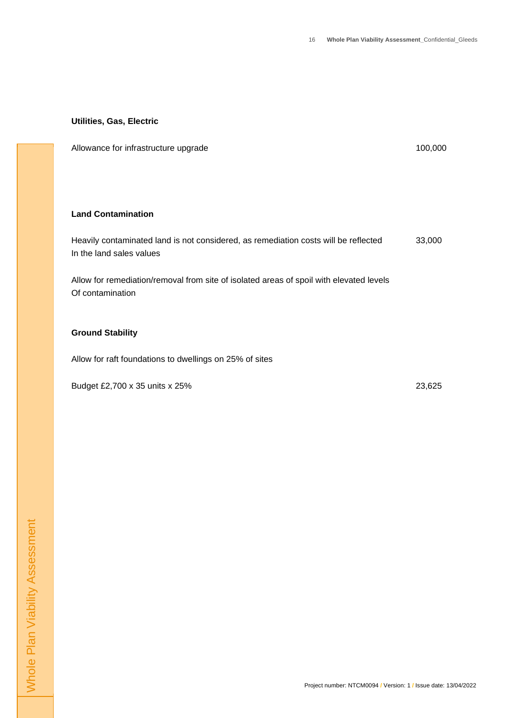#### **Utilities, Gas, Electric**

Allowance for infrastructure upgrade 100,000 and 100,000 and 100,000 and 100,000 and 100,000 and 100,000 and 100,000 and 100,000 and 100,000 and 100,000 and 100,000 and 100,000 and 100,000 and 100,000 and 100,000 and 100,0

**Land Contamination** 

 Heavily contaminated land is not considered, as remediation costs will be reflected In the land sales values 33,000

 Allow for remediation/removal from site of isolated areas of spoil with elevated levels Of contamination

#### **Ground Stability**

Allow for raft foundations to dwellings on 25% of sites

Budget £2,700 x 35 units x 25% 23,625